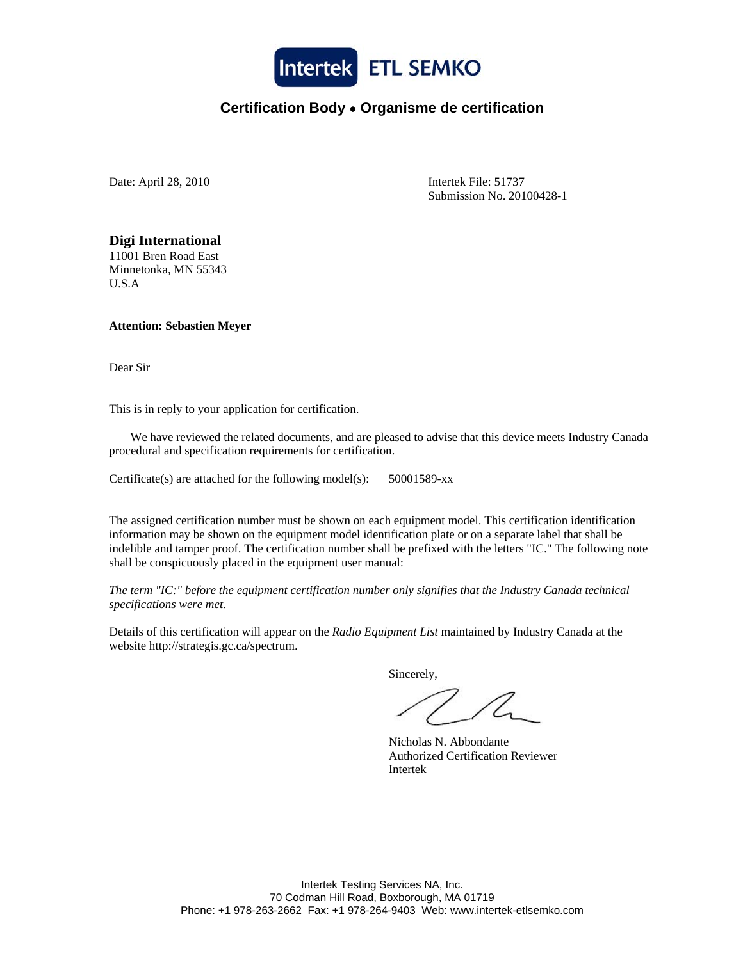

## **Certification Body** • **Organisme de certification**

Date: April 28, 2010 Intertek File: 51737

Submission No. 20100428-1

**Digi International**  11001 Bren Road East Minnetonka, MN 55343 U.S.A

**Attention: Sebastien Meyer** 

Dear Sir

This is in reply to your application for certification.

 We have reviewed the related documents, and are pleased to advise that this device meets Industry Canada procedural and specification requirements for certification.

Certificate(s) are attached for the following model(s): 50001589-xx

The assigned certification number must be shown on each equipment model. This certification identification information may be shown on the equipment model identification plate or on a separate label that shall be indelible and tamper proof. The certification number shall be prefixed with the letters "IC." The following note shall be conspicuously placed in the equipment user manual:

*The term "IC:" before the equipment certification number only signifies that the Industry Canada technical specifications were met.*

Details of this certification will appear on the *Radio Equipment List* maintained by Industry Canada at the website http://strategis.gc.ca/spectrum.

Sincerely,

 Nicholas N. Abbondante Authorized Certification Reviewer Intertek